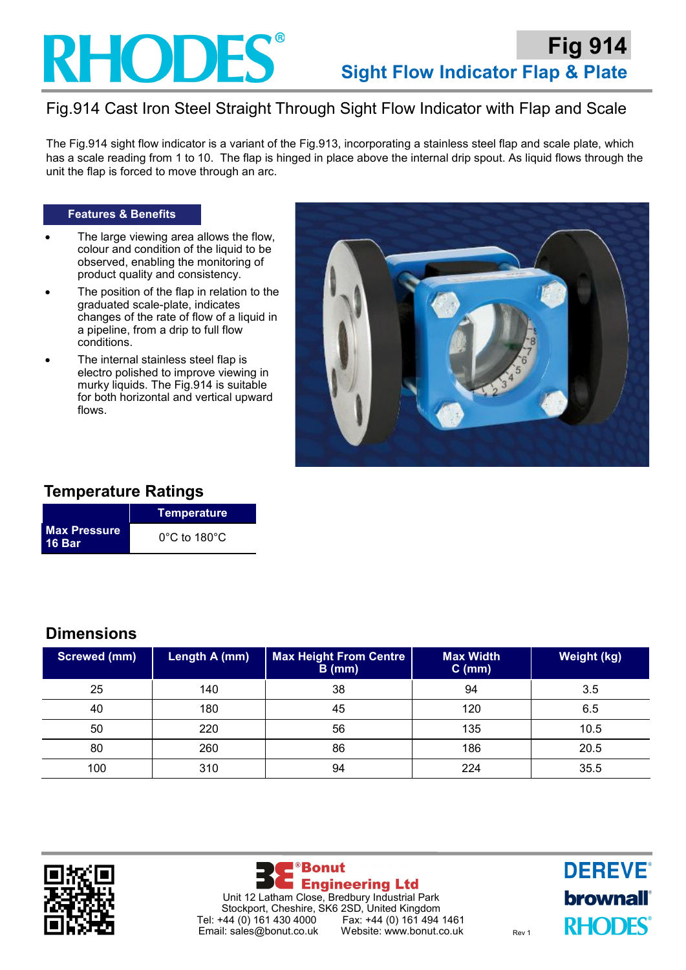

# Fig.914 Cast Iron Steel Straight Through Sight Flow Indicator with Flap and Scale

The Fig.914 sight flow indicator is a variant of the Fig.913, incorporating a stainless steel flap and scale plate, which has a scale reading from 1 to 10. The flap is hinged in place above the internal drip spout. As liquid flows through the unit the flap is forced to move through an arc.

#### **Features & Benefits**

- The large viewing area allows the flow, colour and condition of the liquid to be observed, enabling the monitoring of product quality and consistency.
- The position of the flap in relation to the graduated scale-plate, indicates changes of the rate of flow of a liquid in a pipeline, from a drip to full flow conditions.
- The internal stainless steel flap is electro polished to improve viewing in murky liquids. The Fig.914 is suitable for both horizontal and vertical upward flows.



### **Temperature Ratings**

|                                      | Temperature                       |  |
|--------------------------------------|-----------------------------------|--|
| <b>Max Pressure</b><br><b>16 Bar</b> | $0^{\circ}$ C to 180 $^{\circ}$ C |  |

### **Dimensions**

| <b>Screwed (mm)</b> | Length A (mm) | <b>Max Height From Centre</b><br>$B$ (mm) | <b>Max Width</b><br>$C$ (mm) | <b>Weight (kg)</b> |
|---------------------|---------------|-------------------------------------------|------------------------------|--------------------|
| 25                  | 140           | 38                                        | 94                           | 3.5                |
| 40                  | 180           | 45                                        | 120                          | 6.5                |
| 50                  | 220           | 56                                        | 135                          | 10.5               |
| 80                  | 260           | 86                                        | 186                          | 20.5               |
| 100                 | 310           | 94                                        | 224                          | 35.5               |